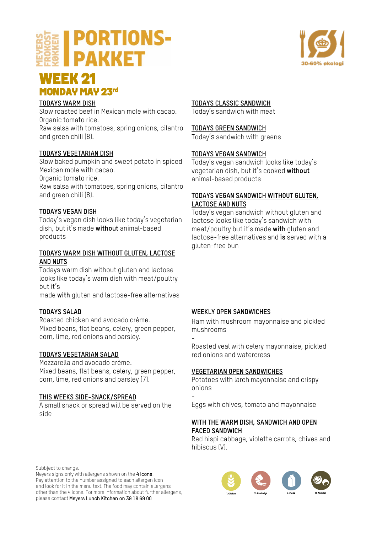# **PORTIONS-PAKKET**



# **WEEK 21<br>MONDAY MAY 23rd**

# **TODAYS WARM DISH**

Slow roasted beef in Mexican mole with cacao. Organic tomato rice. Raw salsa with tomatoes, spring onions, cilantro and green chili (8).

# **TODAYS VEGETARIAN DISH**

Slow baked pumpkin and sweet potato in spiced Mexican mole with cacao.

Organic tomato rice.

Raw salsa with tomatoes, spring onions, cilantro and green chili (8).

# **TODAYS VEGAN DISH**

Today's vegan dish looks like today's vegetarian dish, but it's made **without** animal-based products

## **TODAYS WARM DISH WITHOUT GLUTEN, LACTOSE AND NUTS**

Todays warm dish without gluten and lactose looks like today's warm dish with meat/poultry but it's

made **with** gluten and lactose-free alternatives

# **TODAYS SALAD**

Roasted chicken and avocado crème. Mixed beans, flat beans, celery, green pepper, corn, lime, red onions and parsley.

# **TODAYS VEGETARIAN SALAD**

Mozzarella and avocado crème. Mixed beans, flat beans, celery, green pepper, corn, lime, red onions and parsley (7).

# **THIS WEEKS SIDE-SNACK/SPREAD**

A small snack or spread will be served on the side

# **TODAYS CLASSIC SANDWICH**

Today's sandwich with meat

#### **TODAYS GREEN SANDWICH**

Today's sandwich with greens

## **TODAYS VEGAN SANDWICH**

Today's vegan sandwich looks like today's vegetarian dish, but it's cooked **without** animal-based products

# **TODAYS VEGAN SANDWICH WITHOUT GLUTEN, LACTOSE AND NUTS**

Today's vegan sandwich without gluten and lactose looks like today's sandwich with meat/poultry but it's made **with** gluten and lactose-free alternatives and **is** served with a gluten-free bun

# **WEEKLY OPEN SANDWICHES**

Ham with mushroom mayonnaise and pickled mushrooms

- Roasted veal with celery mayonnaise, pickled red onions and watercress

# **VEGETARIAN OPEN SANDWICHES**

Potatoes with larch mayonnaise and crispy onions

- Eggs with chives, tomato and mayonnaise

## **WITH THE WARM DISH, SANDWICH AND OPEN FACED SANDWICH**

Red hispi cabbage, violette carrots, chives and hibiscus (V).

Subbject to change.

Meyers signs only with allergens shown on the 4 icons: Pay attention to the number assigned to each allergen icon and look for it in the menu text. The food may contain allergens other than the 4 icons. For more information about further allergens, please contact Meyers Lunch Kitchen on 39 18 69 00

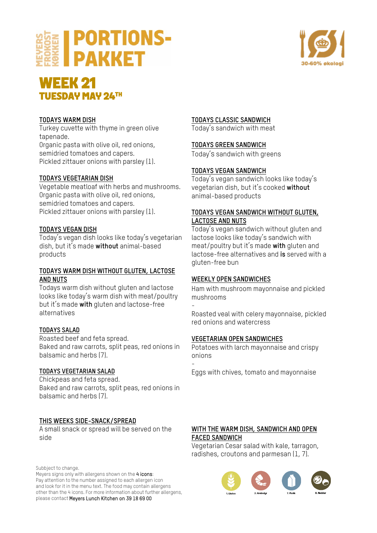



# **WEEK 21<br>TUESDAY MAY 24TH**

# **TODAYS WARM DISH**

Turkey cuvette with thyme in green olive tapenade.

Organic pasta with olive oil, red onions, semidried tomatoes and capers. Pickled zittauer onions with parsley (1).

# **TODAYS VEGETARIAN DISH**

Vegetable meatloaf with herbs and mushrooms. Organic pasta with olive oil, red onions, semidried tomatoes and capers. Pickled zittauer onions with parsley (1).

# **TODAYS VEGAN DISH**

Today's vegan dish looks like today's vegetarian dish, but it's made **without** animal-based products

#### **TODAYS WARM DISH WITHOUT GLUTEN, LACTOSE AND NUTS**

Todays warm dish without gluten and lactose looks like today's warm dish with meat/poultry but it's made **with** gluten and lactose-free alternatives

# **TODAYS SALAD**

Roasted beef and feta spread. Baked and raw carrots, split peas, red onions in balsamic and herbs (7).

# **TODAYS VEGETARIAN SALAD**

Chickpeas and feta spread. Baked and raw carrots, split peas, red onions in balsamic and herbs (7).

# **THIS WEEKS SIDE-SNACK/SPREAD**

A small snack or spread will be served on the side

Subbject to change.

Meyers signs only with allergens shown on the 4 icons: Pay attention to the number assigned to each allergen icon and look for it in the menu text. The food may contain allergens other than the 4 icons. For more information about further allergens, please contact Meyers Lunch Kitchen on 39 18 69 00

# **TODAYS CLASSIC SANDWICH**

Today's sandwich with meat

# **TODAYS GREEN SANDWICH**

Today's sandwich with greens

# **TODAYS VEGAN SANDWICH**

Today's vegan sandwich looks like today's vegetarian dish, but it's cooked **without** animal-based products

## **TODAYS VEGAN SANDWICH WITHOUT GLUTEN, LACTOSE AND NUTS**

Today's vegan sandwich without gluten and lactose looks like today's sandwich with meat/poultry but it's made **with** gluten and lactose-free alternatives and **is** served with a gluten-free bun

# **WEEKLY OPEN SANDWICHES**

Ham with mushroom mayonnaise and pickled mushrooms

- Roasted veal with celery mayonnaise, pickled red onions and watercress

# **VEGETARIAN OPEN SANDWICHES**

Potatoes with larch mayonnaise and crispy onions

- Eggs with chives, tomato and mayonnaise

# **WITH THE WARM DISH, SANDWICH AND OPEN FACED SANDWICH**

Vegetarian Cesar salad with kale, tarragon, radishes, croutons and parmesan (1, 7).

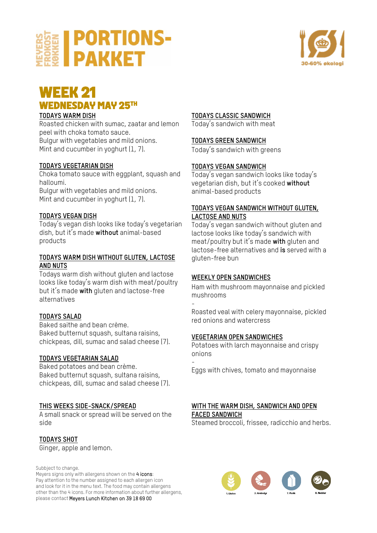



# **WEEK 21<br>WEDNESDAY MAY 25TH**

#### **TODAYS WARM DISH**

Roasted chicken with sumac, zaatar and lemon peel with choka tomato sauce. Bulgur with vegetables and mild onions. Mint and cucumber in yoghurt (1, 7).

#### **TODAYS VEGETARIAN DISH**

Choka tomato sauce with eggplant, squash and halloumi.

Bulgur with vegetables and mild onions. Mint and cucumber in yoghurt (1, 7).

#### **TODAYS VEGAN DISH**

Today's vegan dish looks like today's vegetarian dish, but it's made **without** animal-based products

#### **TODAYS WARM DISH WITHOUT GLUTEN, LACTOSE AND NUTS**

Todays warm dish without gluten and lactose looks like today's warm dish with meat/poultry but it's made **with** gluten and lactose-free alternatives

#### **TODAYS SALAD**

Baked saithe and bean crème. Baked butternut squash, sultana raisins, chickpeas, dill, sumac and salad cheese (7).

#### **TODAYS VEGETARIAN SALAD**

Baked potatoes and bean crème. Baked butternut squash, sultana raisins, chickpeas, dill, sumac and salad cheese (7).

#### **THIS WEEKS SIDE-SNACK/SPREAD**

A small snack or spread will be served on the side

**TODAYS SHOT** Ginger, apple and lemon.

Subbject to change.

Meyers signs only with allergens shown on the 4 icons: Pay attention to the number assigned to each allergen icon and look for it in the menu text. The food may contain allergens other than the 4 icons. For more information about further allergens, please contact Meyers Lunch Kitchen on 39 18 69 00

#### **TODAYS CLASSIC SANDWICH**

Today's sandwich with meat

#### **TODAYS GREEN SANDWICH**

Today's sandwich with greens

#### **TODAYS VEGAN SANDWICH**

Today's vegan sandwich looks like today's vegetarian dish, but it's cooked **without** animal-based products

#### **TODAYS VEGAN SANDWICH WITHOUT GLUTEN, LACTOSE AND NUTS**

Today's vegan sandwich without gluten and lactose looks like today's sandwich with meat/poultry but it's made **with** gluten and lactose-free alternatives and **is** served with a gluten-free bun

#### **WEEKLY OPEN SANDWICHES**

-

Ham with mushroom mayonnaise and pickled mushrooms

Roasted veal with celery mayonnaise, pickled red onions and watercress

#### **VEGETARIAN OPEN SANDWICHES**

Potatoes with larch mayonnaise and crispy onions

- Eggs with chives, tomato and mayonnaise

# **WITH THE WARM DISH, SANDWICH AND OPEN FACED SANDWICH**

Steamed broccoli, frissee, radicchio and herbs.

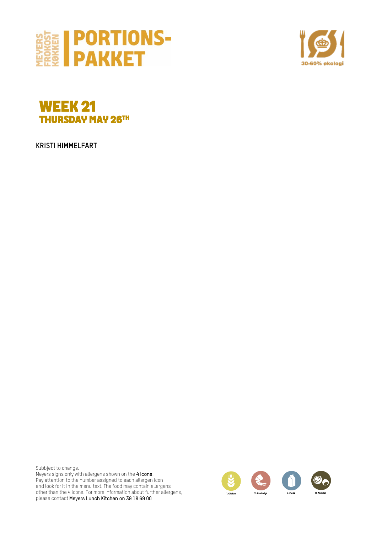





**KRISTI HIMMELFART**

Subbject to change. Meyers signs only with allergens shown on the 4 icons: Pay attention to the number assigned to each allergen icon and look for it in the menu text. The food may contain allergens other than the 4 icons. For more information about further allergens, please contact Meyers Lunch Kitchen on 39 18 69 00